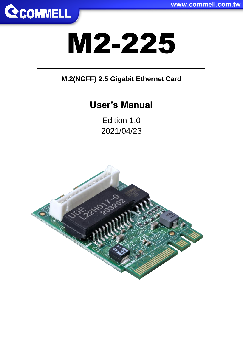

# M2-225

#### **M.2(NGFF) 2.5 Gigabit Ethernet Card**

# **User's Manual**

Edition 1.0 2021/04/23

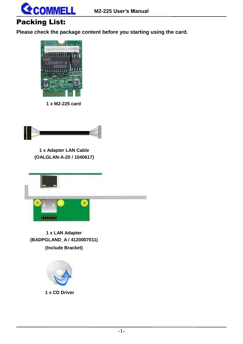

#### Packing List:

**Please check the package content before you starting using the card.**



**1 x M2-225 card**



**1 x Adapter LAN Cable (OALGLAN-A-20 / 1040617)**



**1 x LAN Adapter (BADPGLAND\_A / 4120007011) (Include Bracket)**



**1 x CD Driver**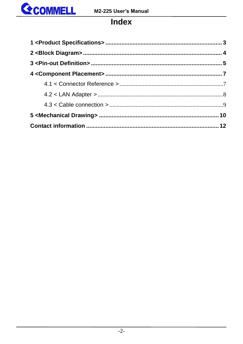

#### **Index**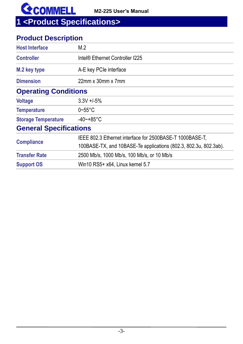

<span id="page-3-0"></span>**1 <Product [Specifications>](https://ark.intel.com/content/www/us/en/ark/products/184675/intel-ethernet-controller-i225-lm.html#tab-blade-1-0)**

#### **Product Description**

| <b>Host Interface</b>         | M.2                                                              |
|-------------------------------|------------------------------------------------------------------|
| <b>Controller</b>             | Intel <sup>®</sup> Ethernet Controller I225                      |
| M.2 key type                  | A-E key PCIe interface                                           |
| <b>Dimension</b>              | $22$ mm x $30$ mm x $7$ mm                                       |
| <b>Operating Conditions</b>   |                                                                  |
| <b>Voltage</b>                | $3.3V + 5%$                                                      |
| <b>Temperature</b>            | $0\neg 55^{\circ}$ C                                             |
| <b>Storage Temperature</b>    | $-40$ ~+85°C                                                     |
| <b>General Specifications</b> |                                                                  |
|                               | IEEE 802.3 Ethernet interface for 2500BASE-T 1000BASE-T,         |
| <b>Compliance</b>             | 100BASE-TX, and 10BASE-Te applications (802.3, 802.3u, 802.3ab). |
| <b>Transfer Rate</b>          | 2500 Mb/s, 1000 Mb/s, 100 Mb/s, or 10 Mb/s                       |
| <b>Support OS</b>             | Win10 RS5+ x64, Linux kernel 5.7                                 |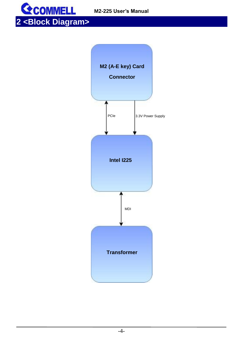<span id="page-4-0"></span>



-4-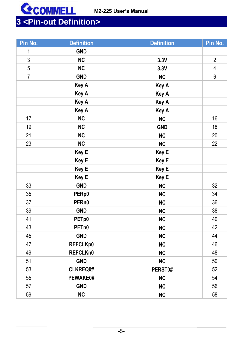

### <span id="page-5-0"></span>**<Pin-out Definition>**

| Pin No.        | <b>Definition</b> | <b>Definition</b> | Pin No.        |
|----------------|-------------------|-------------------|----------------|
| $\mathbf 1$    | <b>GND</b>        |                   |                |
| 3              | <b>NC</b>         | 3.3V              | $\overline{2}$ |
| 5              | <b>NC</b>         | 3.3V              | 4              |
| $\overline{7}$ | <b>GND</b>        | <b>NC</b>         | 6              |
|                | Key A             | Key A             |                |
|                | Key A             | Key A             |                |
|                | Key A             | Key A             |                |
|                | Key A             | Key A             |                |
| 17             | NC                | <b>NC</b>         | 16             |
| 19             | <b>NC</b>         | <b>GND</b>        | 18             |
| 21             | <b>NC</b>         | <b>NC</b>         | 20             |
| 23             | <b>NC</b>         | <b>NC</b>         | 22             |
|                | Key E             | Key E             |                |
|                | Key E             | Key E             |                |
|                | Key E             | Key E             |                |
|                | Key E             | Key E             |                |
| 33             | <b>GND</b>        | <b>NC</b>         | 32             |
| 35             | PERp0             | <b>NC</b>         | 34             |
| 37             | PERn0             | <b>NC</b>         | 36             |
| 39             | <b>GND</b>        | <b>NC</b>         | 38             |
| 41             | PETp0             | <b>NC</b>         | 40             |
| 43             | PET <sub>n0</sub> | <b>NC</b>         | 42             |
| 45             | <b>GND</b>        | <b>NC</b>         | 44             |
| 47             | REFCLKp0          | <b>NC</b>         | 46             |
| 49             | REFCLKn0          | <b>NC</b>         | 48             |
| 51             | <b>GND</b>        | <b>NC</b>         | 50             |
| 53             | CLKREQ0#          | PERST0#           | 52             |
| 55             | PEWAKE0#          | <b>NC</b>         | 54             |
| 57             | <b>GND</b>        | <b>NC</b>         | 56             |
| 59             | <b>NC</b>         | <b>NC</b>         | 58             |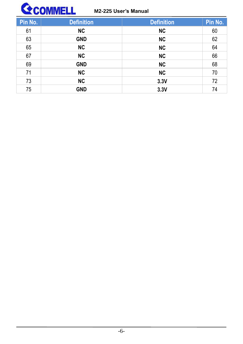

| Pin No. | <b>Definition</b> | <b>Definition</b> | Pin No. |
|---------|-------------------|-------------------|---------|
| 61      | <b>NC</b>         | <b>NC</b>         | 60      |
| 63      | <b>GND</b>        | NC                | 62      |
| 65      | <b>NC</b>         | <b>NC</b>         | 64      |
| 67      | NC                | <b>NC</b>         | 66      |
| 69      | <b>GND</b>        | <b>NC</b>         | 68      |
| 71      | <b>NC</b>         | NC                | 70      |
| 73      | <b>NC</b>         | 3.3V              | 72      |
| 75      | <b>GND</b>        | 3.3V              | 74      |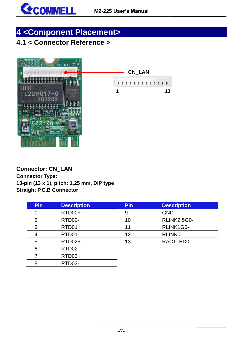

## <span id="page-7-0"></span>**4 <Component Placement>**

#### <span id="page-7-1"></span>**4.1 < Connector Reference >**



**Connector: CN\_LAN Connector Type: 13-pin (13 x 1), pitch: 1.25 mm, DIP type Straight P.C.B Connector**

| <b>Pin</b> | <b>Description</b> | <b>Pin</b> | <b>Description</b> |
|------------|--------------------|------------|--------------------|
|            | RTD00+             | 9          | <b>GND</b>         |
| 2          | RTD00-             | 10         | <b>RLINK2.5G0-</b> |
| 3          | $RTD01+$           | 11         | RLINK1G0-          |
|            | RTD01-             | 12         | RLINK0-            |
| 5          | RTD02+             | 13         | RACTLED0-          |
| 6          | RTD02-             |            |                    |
|            | RTD03+             |            |                    |
| 8          | RTD03-             |            |                    |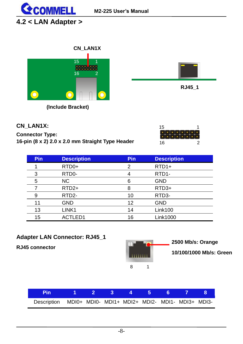

#### <span id="page-8-0"></span>**4.2 < LAN Adapter >**



**(Include Bracket)**



| CN LAN1X:                                        |
|--------------------------------------------------|
| <b>Connector Type:</b>                           |
| 16-pin (8 x 2) 2.0 x 2.0 mm Straight Type Header |

| 15 |  |  |  |   |  |
|----|--|--|--|---|--|
|    |  |  |  |   |  |
|    |  |  |  |   |  |
| 16 |  |  |  | 2 |  |

| <b>Pin</b> | <b>Description</b> | <b>Pin</b> | <b>Description</b> |
|------------|--------------------|------------|--------------------|
|            | RTD <sub>0+</sub>  | 2          | $RTD1+$            |
| 3          | RTD0-              |            | RTD <sub>1</sub> - |
| 5          | NC.                | 6          | <b>GND</b>         |
|            | RTD <sub>2+</sub>  | 8          | RTD <sub>3+</sub>  |
| 9          | RTD <sub>2</sub> - | 10         | RTD3-              |
| 11         | <b>GND</b>         | 12         | <b>GND</b>         |
| 13         | LINK1              | 14         | Link100            |
| 15         | ACTLED1            | 16         | <b>Link1000</b>    |

#### **Adapter LAN Connector: RJ45\_1**

**RJ45 connector** 



**2500 Mb/s: Orange 10/100/1000 Mb/s: Green**

| 1 Pin 1 2 3 4 5 6 7 8                                       |  |  |  |  |
|-------------------------------------------------------------|--|--|--|--|
| Description MDI0+ MDI0- MDI1+ MDI2+ MDI2- MDI1- MDI3+ MDI3- |  |  |  |  |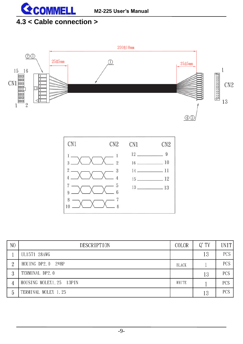

#### <span id="page-9-0"></span>**4.3 < Cable connection >**





| N <sub>O</sub> | <b>DESCRIPTION</b>      | <b>COLOR</b> | $Q'$ TY | UNIT       |
|----------------|-------------------------|--------------|---------|------------|
|                | UL1571 28AWG            |              | 13      | <b>PCS</b> |
| $\Omega$       | HOUING DP2.0 $2*8P$     | <b>BLACK</b> |         | PCS.       |
| 3              | TERMINAL DP2.0          |              | 13      | <b>PCS</b> |
|                | HOUSING MOLEX1.25 13PIN | WHITE        |         | <b>PCS</b> |
| 5              | TERMINAL MOLEX 1.25     |              | 13      | <b>PCS</b> |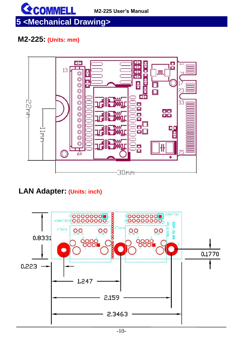

# <span id="page-10-0"></span>**5 <Mechanical Drawing>**

#### **M2-225: (Units: mm)**



#### **LAN Adapter: (Units: inch)**

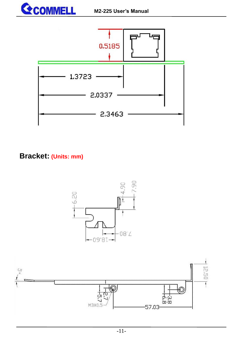



#### **Bracket: (Units: mm)**